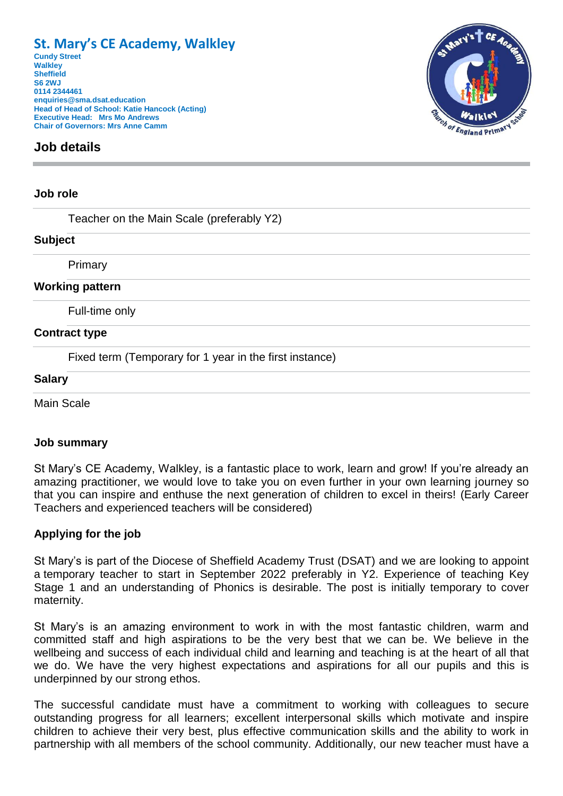# **St. Mary's CE Academy, Walkley**

**Cundy Street Walkley Sheffield S6 2WJ 0114 2344461 enquiries@sma.dsat.education Head of Head of School: Katie Hancock (Acting) Executive Head: Mrs Mo Andrews Chair of Governors: Mrs Anne Camm**

# **Job details**

### **Job role**

Teacher on the Main Scale (preferably Y2)

#### **Subject**

Primary

#### **Working pattern**

Full-time only

#### **Contract type**

Fixed term (Temporary for 1 year in the first instance)

#### **Salary**

Main Scale

# **Job summary**

St Mary's CE Academy, Walkley, is a fantastic place to work, learn and grow! If you're already an amazing practitioner, we would love to take you on even further in your own learning journey so that you can inspire and enthuse the next generation of children to excel in theirs! (Early Career Teachers and experienced teachers will be considered)

# **Applying for the job**

St Mary's is part of the Diocese of Sheffield Academy Trust (DSAT) and we are looking to appoint a temporary teacher to start in September 2022 preferably in Y2. Experience of teaching Key Stage 1 and an understanding of Phonics is desirable. The post is initially temporary to cover maternity.

St Mary's is an amazing environment to work in with the most fantastic children, warm and committed staff and high aspirations to be the very best that we can be. We believe in the wellbeing and success of each individual child and learning and teaching is at the heart of all that we do. We have the very highest expectations and aspirations for all our pupils and this is underpinned by our strong ethos.

The successful candidate must have a commitment to working with colleagues to secure outstanding progress for all learners; excellent interpersonal skills which motivate and inspire children to achieve their very best, plus effective communication skills and the ability to work in partnership with all members of the school community. Additionally, our new teacher must have a